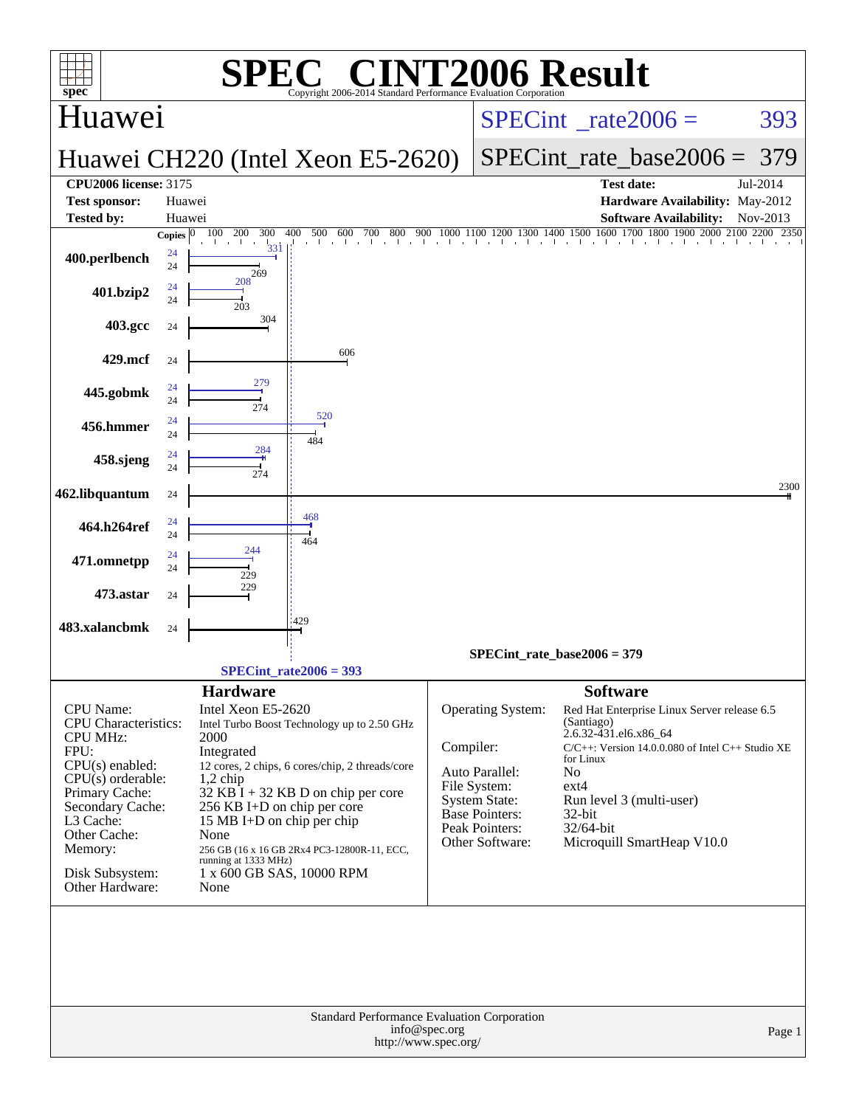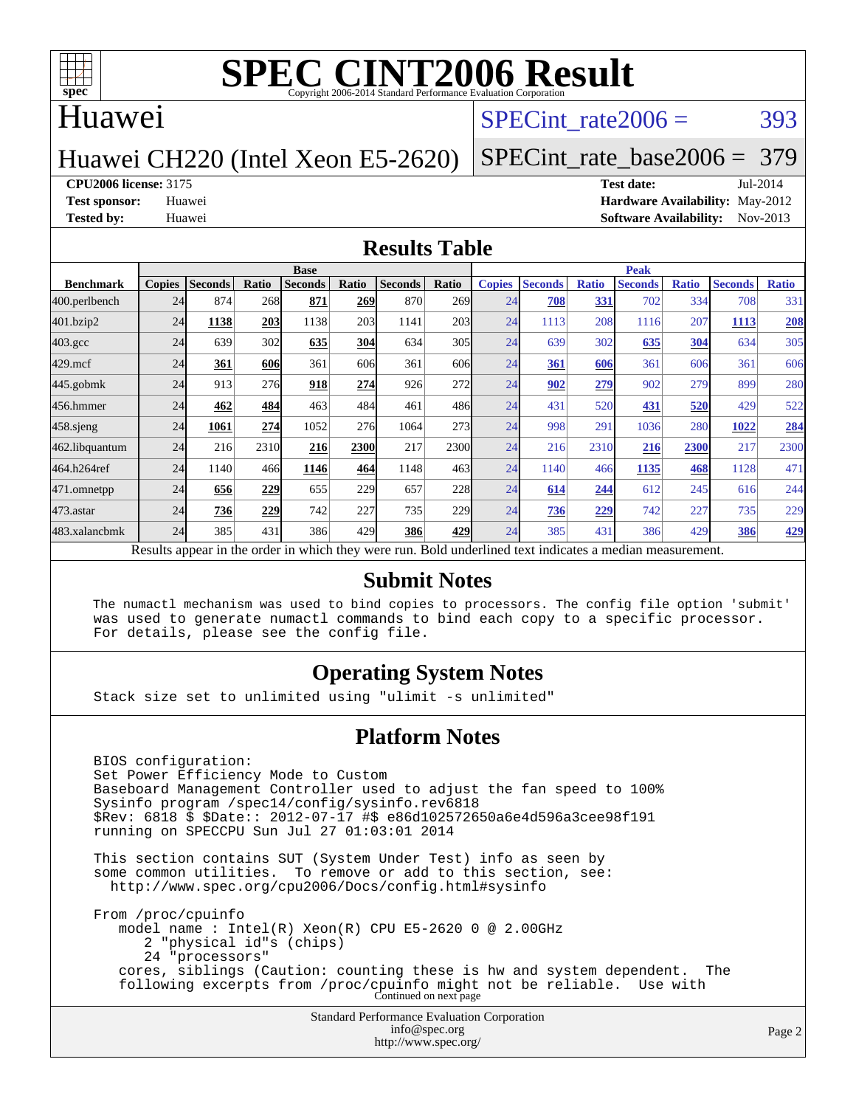

### Huawei

# SPECint rate $2006 = 393$

# Huawei CH220 (Intel Xeon E5-2620)

# [SPECint\\_rate\\_base2006 =](http://www.spec.org/auto/cpu2006/Docs/result-fields.html#SPECintratebase2006) 379

#### **[CPU2006 license:](http://www.spec.org/auto/cpu2006/Docs/result-fields.html#CPU2006license)** 3175 **[Test date:](http://www.spec.org/auto/cpu2006/Docs/result-fields.html#Testdate)** Jul-2014

**[Test sponsor:](http://www.spec.org/auto/cpu2006/Docs/result-fields.html#Testsponsor)** Huawei **[Hardware Availability:](http://www.spec.org/auto/cpu2006/Docs/result-fields.html#HardwareAvailability)** May-2012 **[Tested by:](http://www.spec.org/auto/cpu2006/Docs/result-fields.html#Testedby)** Huawei **[Software Availability:](http://www.spec.org/auto/cpu2006/Docs/result-fields.html#SoftwareAvailability)** Nov-2013

#### **[Results Table](http://www.spec.org/auto/cpu2006/Docs/result-fields.html#ResultsTable)**

|                    | <b>Base</b>   |                |       |                |                 |                                                                                                          |            | <b>Peak</b>   |                |              |                |              |                |              |
|--------------------|---------------|----------------|-------|----------------|-----------------|----------------------------------------------------------------------------------------------------------|------------|---------------|----------------|--------------|----------------|--------------|----------------|--------------|
| <b>Benchmark</b>   | <b>Copies</b> | <b>Seconds</b> | Ratio | <b>Seconds</b> | Ratio           | <b>Seconds</b>                                                                                           | Ratio      | <b>Copies</b> | <b>Seconds</b> | <b>Ratio</b> | <b>Seconds</b> | <b>Ratio</b> | <b>Seconds</b> | <b>Ratio</b> |
| 400.perlbench      | 24            | 874            | 268   | 871            | 2691            | 870                                                                                                      | <b>269</b> | 24            | 708            | 331          | 702            | 334          | 708            | 331          |
| 401.bzip2          | 24            | 1138           | 203   | 1138           | 203             | 1141                                                                                                     | 203        | 24            | 1113           | 208          | 1116           | 207          | 1113           | 208          |
| $403.\mathrm{gcc}$ | 24            | 639            | 302   | 635            | 304             | 634                                                                                                      | 305        | 24            | 639            | 302          | 635            | 304          | 634            | 305          |
| $429$ .mcf         | 24            | 361            | 606   | 361            | 606             | 361                                                                                                      | 606        | 24            | 361            | 606          | 361            | 606          | 361            | 606          |
| $445$ .gobmk       | 24            | 913            | 276   | 918            | 274             | 926                                                                                                      | 272        | 24            | 902            | 279          | 902            | 279          | 899            | 280          |
| 456.hmmer          | 24            | 462            | 484   | 463            | 484             | 461                                                                                                      | 486        | 24            | 431            | 520          | 431            | 520          | 429            | 522          |
| $458$ .sjeng       | 24            | 1061           | 274   | 1052           | 27 <sub>6</sub> | 1064                                                                                                     | 273        | 24            | 998            | 291          | 1036           | 280          | 1022           | 284          |
| 462.libquantum     | 24            | 216            | 2310  | 216            | 2300            | 217                                                                                                      | 2300       | 24            | 216            | 2310         | 216            | 2300         | 217            | 2300         |
| 464.h264ref        | 24            | 1140           | 466   | 1146           | 464             | 1148                                                                                                     | 463        | 24            | 1140           | 466          | 1135           | 468          | 1128           | 471          |
| 471.omnetpp        | 24            | 656            | 229   | 655            | 229             | 657                                                                                                      | 228        | 24            | 614            | 244          | 612            | 245          | 616            | 244          |
| $473$ . astar      | 24            | 736            | 229   | 742            | 227             | 735                                                                                                      | 229        | 24            | 736            | 229          | 742            | 227          | 735            | 229          |
| 483.xalancbmk      | 24            | 385            | 431   | 386            | 429             | 386                                                                                                      | 429        | 24            | 385            | 431          | 386            | 429          | 386            | 429          |
|                    |               |                |       |                |                 | Results appear in the order in which they were run. Bold underlined text indicates a median measurement. |            |               |                |              |                |              |                |              |

### **[Submit Notes](http://www.spec.org/auto/cpu2006/Docs/result-fields.html#SubmitNotes)**

 The numactl mechanism was used to bind copies to processors. The config file option 'submit' was used to generate numactl commands to bind each copy to a specific processor. For details, please see the config file.

### **[Operating System Notes](http://www.spec.org/auto/cpu2006/Docs/result-fields.html#OperatingSystemNotes)**

Stack size set to unlimited using "ulimit -s unlimited"

#### **[Platform Notes](http://www.spec.org/auto/cpu2006/Docs/result-fields.html#PlatformNotes)**

 BIOS configuration: Set Power Efficiency Mode to Custom Baseboard Management Controller used to adjust the fan speed to 100% Sysinfo program /spec14/config/sysinfo.rev6818 \$Rev: 6818 \$ \$Date:: 2012-07-17 #\$ e86d102572650a6e4d596a3cee98f191 running on SPECCPU Sun Jul 27 01:03:01 2014 This section contains SUT (System Under Test) info as seen by some common utilities. To remove or add to this section, see: <http://www.spec.org/cpu2006/Docs/config.html#sysinfo> From /proc/cpuinfo model name : Intel(R) Xeon(R) CPU E5-2620 0 @ 2.00GHz 2 "physical id"s (chips) 24 "processors" cores, siblings (Caution: counting these is hw and system dependent. The

following excerpts from /proc/cpuinfo might not be reliable. Use with Continued on next page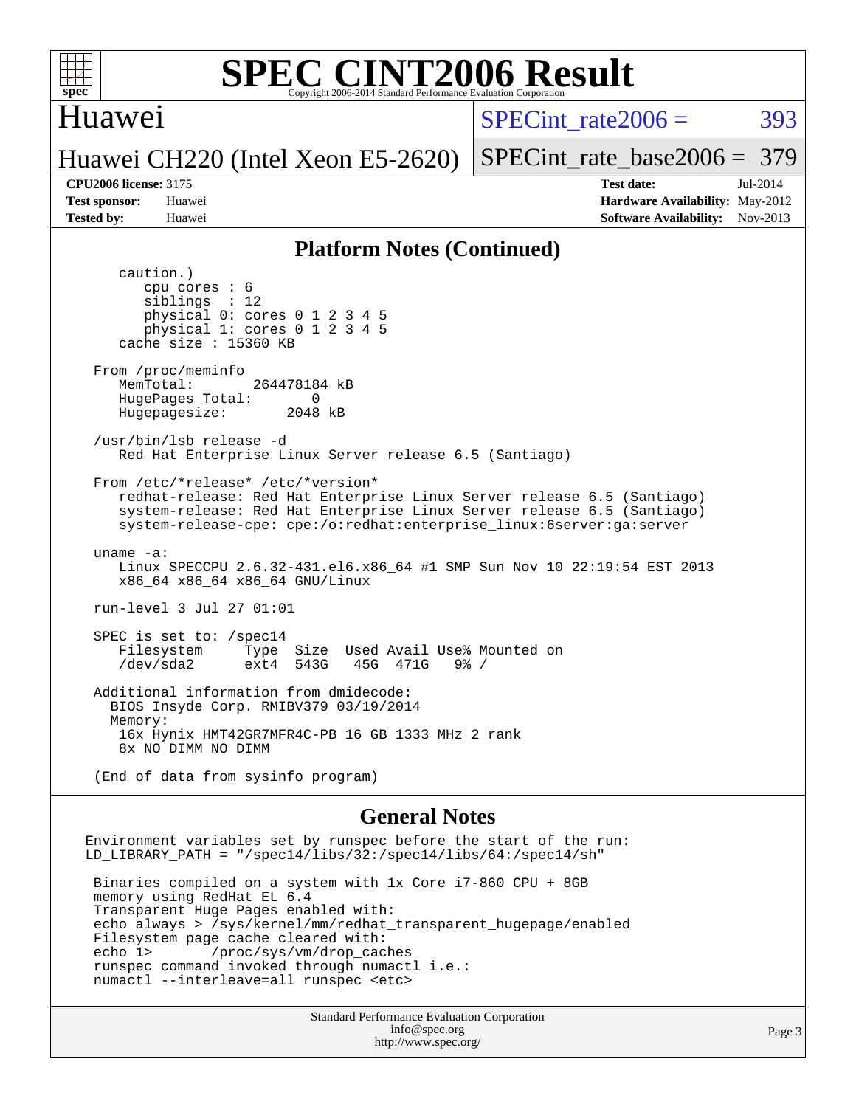

### Huawei

SPECint rate $2006 = 393$ 

# Huawei CH220 (Intel Xeon E5-2620)

[SPECint\\_rate\\_base2006 =](http://www.spec.org/auto/cpu2006/Docs/result-fields.html#SPECintratebase2006) 379 **[CPU2006 license:](http://www.spec.org/auto/cpu2006/Docs/result-fields.html#CPU2006license)** 3175 **[Test date:](http://www.spec.org/auto/cpu2006/Docs/result-fields.html#Testdate)** Jul-2014

**[Test sponsor:](http://www.spec.org/auto/cpu2006/Docs/result-fields.html#Testsponsor)** Huawei **[Hardware Availability:](http://www.spec.org/auto/cpu2006/Docs/result-fields.html#HardwareAvailability)** May-2012 **[Tested by:](http://www.spec.org/auto/cpu2006/Docs/result-fields.html#Testedby)** Huawei **[Software Availability:](http://www.spec.org/auto/cpu2006/Docs/result-fields.html#SoftwareAvailability)** Nov-2013

#### **[Platform Notes \(Continued\)](http://www.spec.org/auto/cpu2006/Docs/result-fields.html#PlatformNotes)**

 caution.) cpu cores : 6 siblings : 12 physical 0: cores 0 1 2 3 4 5 physical 1: cores 0 1 2 3 4 5 cache size : 15360 KB From /proc/meminfo MemTotal: 264478184 kB HugePages\_Total: 0<br>Hugepagesize: 2048 kB Hugepagesize: /usr/bin/lsb\_release -d Red Hat Enterprise Linux Server release 6.5 (Santiago) From /etc/\*release\* /etc/\*version\* redhat-release: Red Hat Enterprise Linux Server release 6.5 (Santiago) system-release: Red Hat Enterprise Linux Server release 6.5 (Santiago) system-release-cpe: cpe:/o:redhat:enterprise\_linux:6server:ga:server uname -a: Linux SPECCPU 2.6.32-431.el6.x86\_64 #1 SMP Sun Nov 10 22:19:54 EST 2013 x86\_64 x86\_64 x86\_64 GNU/Linux run-level 3 Jul 27 01:01 SPEC is set to: /spec14 Filesystem Type Size Used Avail Use% Mounted on<br>
/dev/sda2 ext4 543G 45G 471G 9% / 45G 471G Additional information from dmidecode: BIOS Insyde Corp. RMIBV379 03/19/2014 Memory: 16x Hynix HMT42GR7MFR4C-PB 16 GB 1333 MHz 2 rank 8x NO DIMM NO DIMM (End of data from sysinfo program)

#### **[General Notes](http://www.spec.org/auto/cpu2006/Docs/result-fields.html#GeneralNotes)**

Environment variables set by runspec before the start of the run: LD\_LIBRARY\_PATH = "/spec14/libs/32:/spec14/libs/64:/spec14/sh"

 Binaries compiled on a system with 1x Core i7-860 CPU + 8GB memory using RedHat EL 6.4 Transparent Huge Pages enabled with: echo always > /sys/kernel/mm/redhat\_transparent\_hugepage/enabled Filesystem page cache cleared with: echo 1> /proc/sys/vm/drop\_caches runspec command invoked through numactl i.e.: numactl --interleave=all runspec <etc>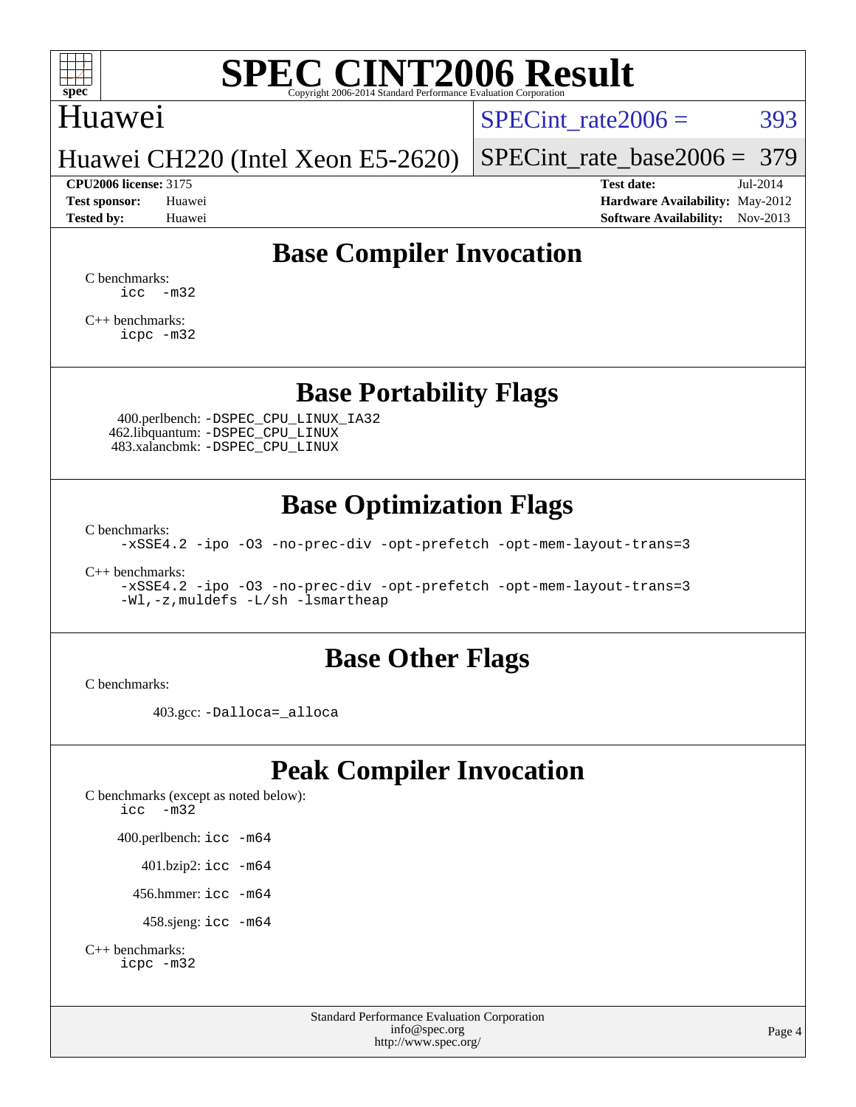

# Huawei

SPECint rate $2006 = 393$ 

### Huawei CH220 (Intel Xeon E5-2620)

[SPECint\\_rate\\_base2006 =](http://www.spec.org/auto/cpu2006/Docs/result-fields.html#SPECintratebase2006) 379 **[CPU2006 license:](http://www.spec.org/auto/cpu2006/Docs/result-fields.html#CPU2006license)** 3175 **[Test date:](http://www.spec.org/auto/cpu2006/Docs/result-fields.html#Testdate)** Jul-2014

**[Test sponsor:](http://www.spec.org/auto/cpu2006/Docs/result-fields.html#Testsponsor)** Huawei **[Hardware Availability:](http://www.spec.org/auto/cpu2006/Docs/result-fields.html#HardwareAvailability)** May-2012 **[Tested by:](http://www.spec.org/auto/cpu2006/Docs/result-fields.html#Testedby)** Huawei **[Software Availability:](http://www.spec.org/auto/cpu2006/Docs/result-fields.html#SoftwareAvailability)** Nov-2013

# **[Base Compiler Invocation](http://www.spec.org/auto/cpu2006/Docs/result-fields.html#BaseCompilerInvocation)**

[C benchmarks](http://www.spec.org/auto/cpu2006/Docs/result-fields.html#Cbenchmarks):  $\text{icc}$   $-\text{m32}$ 

[C++ benchmarks:](http://www.spec.org/auto/cpu2006/Docs/result-fields.html#CXXbenchmarks) [icpc -m32](http://www.spec.org/cpu2006/results/res2014q3/cpu2006-20140731-30710.flags.html#user_CXXbase_intel_icpc_4e5a5ef1a53fd332b3c49e69c3330699)

# **[Base Portability Flags](http://www.spec.org/auto/cpu2006/Docs/result-fields.html#BasePortabilityFlags)**

 400.perlbench: [-DSPEC\\_CPU\\_LINUX\\_IA32](http://www.spec.org/cpu2006/results/res2014q3/cpu2006-20140731-30710.flags.html#b400.perlbench_baseCPORTABILITY_DSPEC_CPU_LINUX_IA32) 462.libquantum: [-DSPEC\\_CPU\\_LINUX](http://www.spec.org/cpu2006/results/res2014q3/cpu2006-20140731-30710.flags.html#b462.libquantum_baseCPORTABILITY_DSPEC_CPU_LINUX) 483.xalancbmk: [-DSPEC\\_CPU\\_LINUX](http://www.spec.org/cpu2006/results/res2014q3/cpu2006-20140731-30710.flags.html#b483.xalancbmk_baseCXXPORTABILITY_DSPEC_CPU_LINUX)

# **[Base Optimization Flags](http://www.spec.org/auto/cpu2006/Docs/result-fields.html#BaseOptimizationFlags)**

[C benchmarks](http://www.spec.org/auto/cpu2006/Docs/result-fields.html#Cbenchmarks):

[-xSSE4.2](http://www.spec.org/cpu2006/results/res2014q3/cpu2006-20140731-30710.flags.html#user_CCbase_f-xSSE42_f91528193cf0b216347adb8b939d4107) [-ipo](http://www.spec.org/cpu2006/results/res2014q3/cpu2006-20140731-30710.flags.html#user_CCbase_f-ipo) [-O3](http://www.spec.org/cpu2006/results/res2014q3/cpu2006-20140731-30710.flags.html#user_CCbase_f-O3) [-no-prec-div](http://www.spec.org/cpu2006/results/res2014q3/cpu2006-20140731-30710.flags.html#user_CCbase_f-no-prec-div) [-opt-prefetch](http://www.spec.org/cpu2006/results/res2014q3/cpu2006-20140731-30710.flags.html#user_CCbase_f-opt-prefetch) [-opt-mem-layout-trans=3](http://www.spec.org/cpu2006/results/res2014q3/cpu2006-20140731-30710.flags.html#user_CCbase_f-opt-mem-layout-trans_a7b82ad4bd7abf52556d4961a2ae94d5)

[C++ benchmarks:](http://www.spec.org/auto/cpu2006/Docs/result-fields.html#CXXbenchmarks)

[-xSSE4.2](http://www.spec.org/cpu2006/results/res2014q3/cpu2006-20140731-30710.flags.html#user_CXXbase_f-xSSE42_f91528193cf0b216347adb8b939d4107) [-ipo](http://www.spec.org/cpu2006/results/res2014q3/cpu2006-20140731-30710.flags.html#user_CXXbase_f-ipo) [-O3](http://www.spec.org/cpu2006/results/res2014q3/cpu2006-20140731-30710.flags.html#user_CXXbase_f-O3) [-no-prec-div](http://www.spec.org/cpu2006/results/res2014q3/cpu2006-20140731-30710.flags.html#user_CXXbase_f-no-prec-div) [-opt-prefetch](http://www.spec.org/cpu2006/results/res2014q3/cpu2006-20140731-30710.flags.html#user_CXXbase_f-opt-prefetch) [-opt-mem-layout-trans=3](http://www.spec.org/cpu2006/results/res2014q3/cpu2006-20140731-30710.flags.html#user_CXXbase_f-opt-mem-layout-trans_a7b82ad4bd7abf52556d4961a2ae94d5) [-Wl,-z,muldefs](http://www.spec.org/cpu2006/results/res2014q3/cpu2006-20140731-30710.flags.html#user_CXXbase_link_force_multiple1_74079c344b956b9658436fd1b6dd3a8a) [-L/sh -lsmartheap](http://www.spec.org/cpu2006/results/res2014q3/cpu2006-20140731-30710.flags.html#user_CXXbase_SmartHeap_32f6c82aa1ed9c52345d30cf6e4a0499)

## **[Base Other Flags](http://www.spec.org/auto/cpu2006/Docs/result-fields.html#BaseOtherFlags)**

[C benchmarks](http://www.spec.org/auto/cpu2006/Docs/result-fields.html#Cbenchmarks):

403.gcc: [-Dalloca=\\_alloca](http://www.spec.org/cpu2006/results/res2014q3/cpu2006-20140731-30710.flags.html#b403.gcc_baseEXTRA_CFLAGS_Dalloca_be3056838c12de2578596ca5467af7f3)

# **[Peak Compiler Invocation](http://www.spec.org/auto/cpu2006/Docs/result-fields.html#PeakCompilerInvocation)**

[C benchmarks \(except as noted below\)](http://www.spec.org/auto/cpu2006/Docs/result-fields.html#Cbenchmarksexceptasnotedbelow): [icc -m32](http://www.spec.org/cpu2006/results/res2014q3/cpu2006-20140731-30710.flags.html#user_CCpeak_intel_icc_5ff4a39e364c98233615fdd38438c6f2) 400.perlbench: [icc -m64](http://www.spec.org/cpu2006/results/res2014q3/cpu2006-20140731-30710.flags.html#user_peakCCLD400_perlbench_intel_icc_64bit_bda6cc9af1fdbb0edc3795bac97ada53) 401.bzip2: [icc -m64](http://www.spec.org/cpu2006/results/res2014q3/cpu2006-20140731-30710.flags.html#user_peakCCLD401_bzip2_intel_icc_64bit_bda6cc9af1fdbb0edc3795bac97ada53)

456.hmmer: [icc -m64](http://www.spec.org/cpu2006/results/res2014q3/cpu2006-20140731-30710.flags.html#user_peakCCLD456_hmmer_intel_icc_64bit_bda6cc9af1fdbb0edc3795bac97ada53)

458.sjeng: [icc -m64](http://www.spec.org/cpu2006/results/res2014q3/cpu2006-20140731-30710.flags.html#user_peakCCLD458_sjeng_intel_icc_64bit_bda6cc9af1fdbb0edc3795bac97ada53)

```
C++ benchmarks: 
    icpc -m32
```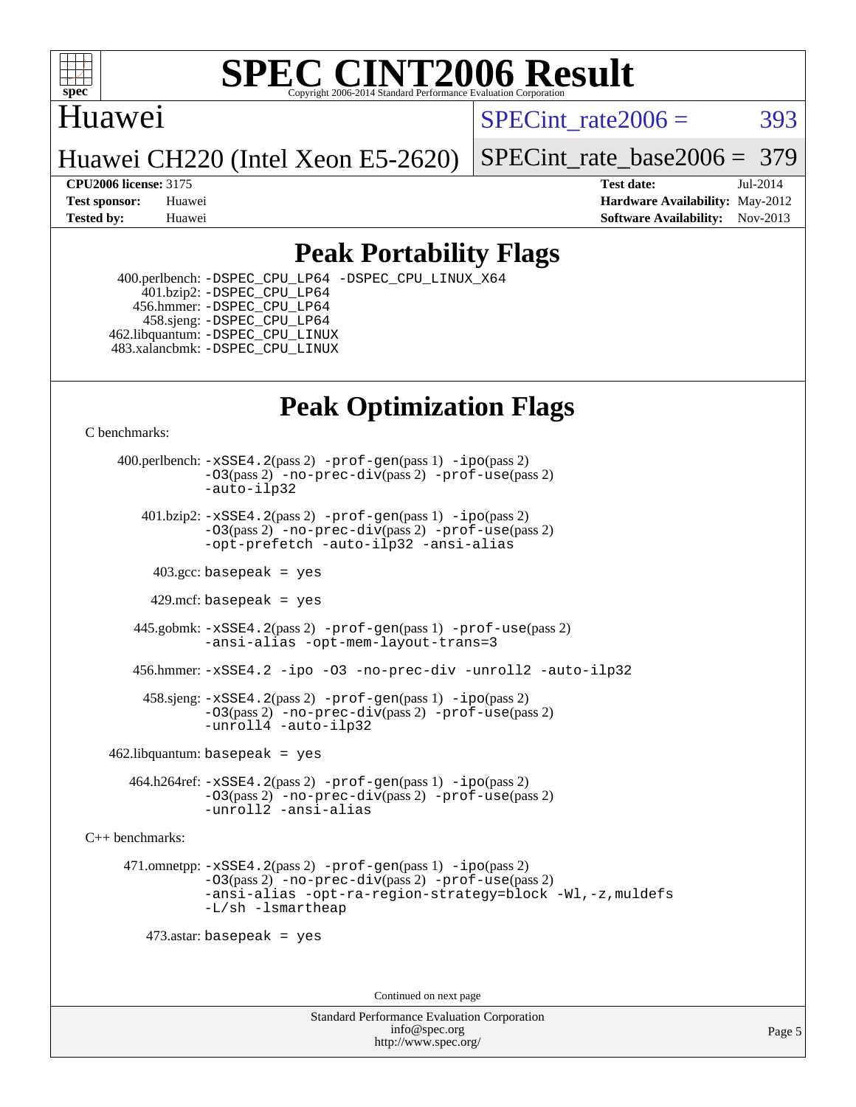

# Huawei

SPECint rate $2006 = 393$ 

Huawei CH220 (Intel Xeon E5-2620)

[SPECint\\_rate\\_base2006 =](http://www.spec.org/auto/cpu2006/Docs/result-fields.html#SPECintratebase2006) 379

**[CPU2006 license:](http://www.spec.org/auto/cpu2006/Docs/result-fields.html#CPU2006license)** 3175 **[Test date:](http://www.spec.org/auto/cpu2006/Docs/result-fields.html#Testdate)** Jul-2014 **[Test sponsor:](http://www.spec.org/auto/cpu2006/Docs/result-fields.html#Testsponsor)** Huawei **[Hardware Availability:](http://www.spec.org/auto/cpu2006/Docs/result-fields.html#HardwareAvailability)** May-2012 **[Tested by:](http://www.spec.org/auto/cpu2006/Docs/result-fields.html#Testedby)** Huawei **[Software Availability:](http://www.spec.org/auto/cpu2006/Docs/result-fields.html#SoftwareAvailability)** Nov-2013

# **[Peak Portability Flags](http://www.spec.org/auto/cpu2006/Docs/result-fields.html#PeakPortabilityFlags)**

 400.perlbench: [-DSPEC\\_CPU\\_LP64](http://www.spec.org/cpu2006/results/res2014q3/cpu2006-20140731-30710.flags.html#b400.perlbench_peakCPORTABILITY_DSPEC_CPU_LP64) [-DSPEC\\_CPU\\_LINUX\\_X64](http://www.spec.org/cpu2006/results/res2014q3/cpu2006-20140731-30710.flags.html#b400.perlbench_peakCPORTABILITY_DSPEC_CPU_LINUX_X64) 401.bzip2: [-DSPEC\\_CPU\\_LP64](http://www.spec.org/cpu2006/results/res2014q3/cpu2006-20140731-30710.flags.html#suite_peakCPORTABILITY401_bzip2_DSPEC_CPU_LP64) 456.hmmer: [-DSPEC\\_CPU\\_LP64](http://www.spec.org/cpu2006/results/res2014q3/cpu2006-20140731-30710.flags.html#suite_peakCPORTABILITY456_hmmer_DSPEC_CPU_LP64) 458.sjeng: [-DSPEC\\_CPU\\_LP64](http://www.spec.org/cpu2006/results/res2014q3/cpu2006-20140731-30710.flags.html#suite_peakCPORTABILITY458_sjeng_DSPEC_CPU_LP64) 462.libquantum: [-DSPEC\\_CPU\\_LINUX](http://www.spec.org/cpu2006/results/res2014q3/cpu2006-20140731-30710.flags.html#b462.libquantum_peakCPORTABILITY_DSPEC_CPU_LINUX) 483.xalancbmk: [-DSPEC\\_CPU\\_LINUX](http://www.spec.org/cpu2006/results/res2014q3/cpu2006-20140731-30710.flags.html#b483.xalancbmk_peakCXXPORTABILITY_DSPEC_CPU_LINUX)

# **[Peak Optimization Flags](http://www.spec.org/auto/cpu2006/Docs/result-fields.html#PeakOptimizationFlags)**

[C benchmarks](http://www.spec.org/auto/cpu2006/Docs/result-fields.html#Cbenchmarks):

 400.perlbench: [-xSSE4.2](http://www.spec.org/cpu2006/results/res2014q3/cpu2006-20140731-30710.flags.html#user_peakPASS2_CFLAGSPASS2_LDCFLAGS400_perlbench_f-xSSE42_f91528193cf0b216347adb8b939d4107)(pass 2) [-prof-gen](http://www.spec.org/cpu2006/results/res2014q3/cpu2006-20140731-30710.flags.html#user_peakPASS1_CFLAGSPASS1_LDCFLAGS400_perlbench_prof_gen_e43856698f6ca7b7e442dfd80e94a8fc)(pass 1) [-ipo](http://www.spec.org/cpu2006/results/res2014q3/cpu2006-20140731-30710.flags.html#user_peakPASS2_CFLAGSPASS2_LDCFLAGS400_perlbench_f-ipo)(pass 2) [-O3](http://www.spec.org/cpu2006/results/res2014q3/cpu2006-20140731-30710.flags.html#user_peakPASS2_CFLAGSPASS2_LDCFLAGS400_perlbench_f-O3)(pass 2) [-no-prec-div](http://www.spec.org/cpu2006/results/res2014q3/cpu2006-20140731-30710.flags.html#user_peakPASS2_CFLAGSPASS2_LDCFLAGS400_perlbench_f-no-prec-div)(pass 2) [-prof-use](http://www.spec.org/cpu2006/results/res2014q3/cpu2006-20140731-30710.flags.html#user_peakPASS2_CFLAGSPASS2_LDCFLAGS400_perlbench_prof_use_bccf7792157ff70d64e32fe3e1250b55)(pass 2) [-auto-ilp32](http://www.spec.org/cpu2006/results/res2014q3/cpu2006-20140731-30710.flags.html#user_peakCOPTIMIZE400_perlbench_f-auto-ilp32)  $401.bzip2: -xSSE4.2(pass 2) -prof-qen(pass 1) -ipo(pass 2)$  $401.bzip2: -xSSE4.2(pass 2) -prof-qen(pass 1) -ipo(pass 2)$  $401.bzip2: -xSSE4.2(pass 2) -prof-qen(pass 1) -ipo(pass 2)$  $401.bzip2: -xSSE4.2(pass 2) -prof-qen(pass 1) -ipo(pass 2)$  $401.bzip2: -xSSE4.2(pass 2) -prof-qen(pass 1) -ipo(pass 2)$ [-O3](http://www.spec.org/cpu2006/results/res2014q3/cpu2006-20140731-30710.flags.html#user_peakPASS2_CFLAGSPASS2_LDCFLAGS401_bzip2_f-O3)(pass 2) [-no-prec-div](http://www.spec.org/cpu2006/results/res2014q3/cpu2006-20140731-30710.flags.html#user_peakPASS2_CFLAGSPASS2_LDCFLAGS401_bzip2_f-no-prec-div)(pass 2) [-prof-use](http://www.spec.org/cpu2006/results/res2014q3/cpu2006-20140731-30710.flags.html#user_peakPASS2_CFLAGSPASS2_LDCFLAGS401_bzip2_prof_use_bccf7792157ff70d64e32fe3e1250b55)(pass 2) [-opt-prefetch](http://www.spec.org/cpu2006/results/res2014q3/cpu2006-20140731-30710.flags.html#user_peakCOPTIMIZE401_bzip2_f-opt-prefetch) [-auto-ilp32](http://www.spec.org/cpu2006/results/res2014q3/cpu2006-20140731-30710.flags.html#user_peakCOPTIMIZE401_bzip2_f-auto-ilp32) [-ansi-alias](http://www.spec.org/cpu2006/results/res2014q3/cpu2006-20140731-30710.flags.html#user_peakCOPTIMIZE401_bzip2_f-ansi-alias)  $403.\text{sec: basepeak}$  = yes 429.mcf: basepeak = yes 445.gobmk: [-xSSE4.2](http://www.spec.org/cpu2006/results/res2014q3/cpu2006-20140731-30710.flags.html#user_peakPASS2_CFLAGSPASS2_LDCFLAGS445_gobmk_f-xSSE42_f91528193cf0b216347adb8b939d4107)(pass 2) [-prof-gen](http://www.spec.org/cpu2006/results/res2014q3/cpu2006-20140731-30710.flags.html#user_peakPASS1_CFLAGSPASS1_LDCFLAGS445_gobmk_prof_gen_e43856698f6ca7b7e442dfd80e94a8fc)(pass 1) [-prof-use](http://www.spec.org/cpu2006/results/res2014q3/cpu2006-20140731-30710.flags.html#user_peakPASS2_CFLAGSPASS2_LDCFLAGS445_gobmk_prof_use_bccf7792157ff70d64e32fe3e1250b55)(pass 2) [-ansi-alias](http://www.spec.org/cpu2006/results/res2014q3/cpu2006-20140731-30710.flags.html#user_peakCOPTIMIZE445_gobmk_f-ansi-alias) [-opt-mem-layout-trans=3](http://www.spec.org/cpu2006/results/res2014q3/cpu2006-20140731-30710.flags.html#user_peakCOPTIMIZE445_gobmk_f-opt-mem-layout-trans_a7b82ad4bd7abf52556d4961a2ae94d5) 456.hmmer: [-xSSE4.2](http://www.spec.org/cpu2006/results/res2014q3/cpu2006-20140731-30710.flags.html#user_peakCOPTIMIZE456_hmmer_f-xSSE42_f91528193cf0b216347adb8b939d4107) [-ipo](http://www.spec.org/cpu2006/results/res2014q3/cpu2006-20140731-30710.flags.html#user_peakCOPTIMIZE456_hmmer_f-ipo) [-O3](http://www.spec.org/cpu2006/results/res2014q3/cpu2006-20140731-30710.flags.html#user_peakCOPTIMIZE456_hmmer_f-O3) [-no-prec-div](http://www.spec.org/cpu2006/results/res2014q3/cpu2006-20140731-30710.flags.html#user_peakCOPTIMIZE456_hmmer_f-no-prec-div) [-unroll2](http://www.spec.org/cpu2006/results/res2014q3/cpu2006-20140731-30710.flags.html#user_peakCOPTIMIZE456_hmmer_f-unroll_784dae83bebfb236979b41d2422d7ec2) [-auto-ilp32](http://www.spec.org/cpu2006/results/res2014q3/cpu2006-20140731-30710.flags.html#user_peakCOPTIMIZE456_hmmer_f-auto-ilp32) 458.sjeng: [-xSSE4.2](http://www.spec.org/cpu2006/results/res2014q3/cpu2006-20140731-30710.flags.html#user_peakPASS2_CFLAGSPASS2_LDCFLAGS458_sjeng_f-xSSE42_f91528193cf0b216347adb8b939d4107)(pass 2) [-prof-gen](http://www.spec.org/cpu2006/results/res2014q3/cpu2006-20140731-30710.flags.html#user_peakPASS1_CFLAGSPASS1_LDCFLAGS458_sjeng_prof_gen_e43856698f6ca7b7e442dfd80e94a8fc)(pass 1) [-ipo](http://www.spec.org/cpu2006/results/res2014q3/cpu2006-20140731-30710.flags.html#user_peakPASS2_CFLAGSPASS2_LDCFLAGS458_sjeng_f-ipo)(pass 2) [-O3](http://www.spec.org/cpu2006/results/res2014q3/cpu2006-20140731-30710.flags.html#user_peakPASS2_CFLAGSPASS2_LDCFLAGS458_sjeng_f-O3)(pass 2) [-no-prec-div](http://www.spec.org/cpu2006/results/res2014q3/cpu2006-20140731-30710.flags.html#user_peakPASS2_CFLAGSPASS2_LDCFLAGS458_sjeng_f-no-prec-div)(pass 2) [-prof-use](http://www.spec.org/cpu2006/results/res2014q3/cpu2006-20140731-30710.flags.html#user_peakPASS2_CFLAGSPASS2_LDCFLAGS458_sjeng_prof_use_bccf7792157ff70d64e32fe3e1250b55)(pass 2) [-unroll4](http://www.spec.org/cpu2006/results/res2014q3/cpu2006-20140731-30710.flags.html#user_peakCOPTIMIZE458_sjeng_f-unroll_4e5e4ed65b7fd20bdcd365bec371b81f) [-auto-ilp32](http://www.spec.org/cpu2006/results/res2014q3/cpu2006-20140731-30710.flags.html#user_peakCOPTIMIZE458_sjeng_f-auto-ilp32)  $462$ .libquantum: basepeak = yes 464.h264ref: [-xSSE4.2](http://www.spec.org/cpu2006/results/res2014q3/cpu2006-20140731-30710.flags.html#user_peakPASS2_CFLAGSPASS2_LDCFLAGS464_h264ref_f-xSSE42_f91528193cf0b216347adb8b939d4107)(pass 2) [-prof-gen](http://www.spec.org/cpu2006/results/res2014q3/cpu2006-20140731-30710.flags.html#user_peakPASS1_CFLAGSPASS1_LDCFLAGS464_h264ref_prof_gen_e43856698f6ca7b7e442dfd80e94a8fc)(pass 1) [-ipo](http://www.spec.org/cpu2006/results/res2014q3/cpu2006-20140731-30710.flags.html#user_peakPASS2_CFLAGSPASS2_LDCFLAGS464_h264ref_f-ipo)(pass 2) [-O3](http://www.spec.org/cpu2006/results/res2014q3/cpu2006-20140731-30710.flags.html#user_peakPASS2_CFLAGSPASS2_LDCFLAGS464_h264ref_f-O3)(pass 2) [-no-prec-div](http://www.spec.org/cpu2006/results/res2014q3/cpu2006-20140731-30710.flags.html#user_peakPASS2_CFLAGSPASS2_LDCFLAGS464_h264ref_f-no-prec-div)(pass 2) [-prof-use](http://www.spec.org/cpu2006/results/res2014q3/cpu2006-20140731-30710.flags.html#user_peakPASS2_CFLAGSPASS2_LDCFLAGS464_h264ref_prof_use_bccf7792157ff70d64e32fe3e1250b55)(pass 2) [-unroll2](http://www.spec.org/cpu2006/results/res2014q3/cpu2006-20140731-30710.flags.html#user_peakCOPTIMIZE464_h264ref_f-unroll_784dae83bebfb236979b41d2422d7ec2) [-ansi-alias](http://www.spec.org/cpu2006/results/res2014q3/cpu2006-20140731-30710.flags.html#user_peakCOPTIMIZE464_h264ref_f-ansi-alias)

[C++ benchmarks:](http://www.spec.org/auto/cpu2006/Docs/result-fields.html#CXXbenchmarks)

 471.omnetpp: [-xSSE4.2](http://www.spec.org/cpu2006/results/res2014q3/cpu2006-20140731-30710.flags.html#user_peakPASS2_CXXFLAGSPASS2_LDCXXFLAGS471_omnetpp_f-xSSE42_f91528193cf0b216347adb8b939d4107)(pass 2) [-prof-gen](http://www.spec.org/cpu2006/results/res2014q3/cpu2006-20140731-30710.flags.html#user_peakPASS1_CXXFLAGSPASS1_LDCXXFLAGS471_omnetpp_prof_gen_e43856698f6ca7b7e442dfd80e94a8fc)(pass 1) [-ipo](http://www.spec.org/cpu2006/results/res2014q3/cpu2006-20140731-30710.flags.html#user_peakPASS2_CXXFLAGSPASS2_LDCXXFLAGS471_omnetpp_f-ipo)(pass 2) [-O3](http://www.spec.org/cpu2006/results/res2014q3/cpu2006-20140731-30710.flags.html#user_peakPASS2_CXXFLAGSPASS2_LDCXXFLAGS471_omnetpp_f-O3)(pass 2) [-no-prec-div](http://www.spec.org/cpu2006/results/res2014q3/cpu2006-20140731-30710.flags.html#user_peakPASS2_CXXFLAGSPASS2_LDCXXFLAGS471_omnetpp_f-no-prec-div)(pass 2) [-prof-use](http://www.spec.org/cpu2006/results/res2014q3/cpu2006-20140731-30710.flags.html#user_peakPASS2_CXXFLAGSPASS2_LDCXXFLAGS471_omnetpp_prof_use_bccf7792157ff70d64e32fe3e1250b55)(pass 2) [-ansi-alias](http://www.spec.org/cpu2006/results/res2014q3/cpu2006-20140731-30710.flags.html#user_peakCXXOPTIMIZE471_omnetpp_f-ansi-alias) [-opt-ra-region-strategy=block](http://www.spec.org/cpu2006/results/res2014q3/cpu2006-20140731-30710.flags.html#user_peakCXXOPTIMIZE471_omnetpp_f-opt-ra-region-strategy_a0a37c372d03933b2a18d4af463c1f69) [-Wl,-z,muldefs](http://www.spec.org/cpu2006/results/res2014q3/cpu2006-20140731-30710.flags.html#user_peakEXTRA_LDFLAGS471_omnetpp_link_force_multiple1_74079c344b956b9658436fd1b6dd3a8a) [-L/sh -lsmartheap](http://www.spec.org/cpu2006/results/res2014q3/cpu2006-20140731-30710.flags.html#user_peakEXTRA_LIBS471_omnetpp_SmartHeap_32f6c82aa1ed9c52345d30cf6e4a0499)

473.astar: basepeak = yes

Continued on next page